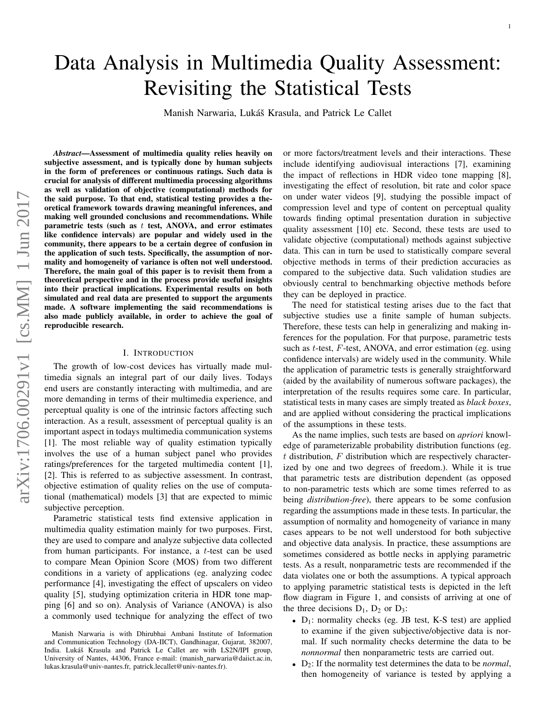# Data Analysis in Multimedia Quality Assessment: Revisiting the Statistical Tests

Manish Narwaria, Lukáš Krasula, and Patrick Le Callet

*Abstract*—Assessment of multimedia quality relies heavily on subjective assessment, and is typically done by human subjects in the form of preferences or continuous ratings. Such data is crucial for analysis of different multimedia processing algorithms as well as validation of objective (computational) methods for the said purpose. To that end, statistical testing provides a theoretical framework towards drawing meaningful inferences, and making well grounded conclusions and recommendations. While parametric tests (such as  $t$  test, ANOVA, and error estimates like confidence intervals) are popular and widely used in the community, there appears to be a certain degree of confusion in the application of such tests. Specifically, the assumption of normality and homogeneity of variance is often not well understood. Therefore, the main goal of this paper is to revisit them from a theoretical perspective and in the process provide useful insights into their practical implications. Experimental results on both simulated and real data are presented to support the arguments made. A software implementing the said recommendations is also made publicly available, in order to achieve the goal of reproducible research.

# I. INTRODUCTION

The growth of low-cost devices has virtually made multimedia signals an integral part of our daily lives. Todays end users are constantly interacting with multimedia, and are more demanding in terms of their multimedia experience, and perceptual quality is one of the intrinsic factors affecting such interaction. As a result, assessment of perceptual quality is an important aspect in todays multimedia communication systems [1]. The most reliable way of quality estimation typically involves the use of a human subject panel who provides ratings/preferences for the targeted multimedia content [1], [2]. This is referred to as subjective assessment. In contrast, objective estimation of quality relies on the use of computational (mathematical) models [3] that are expected to mimic subjective perception.

Parametric statistical tests find extensive application in multimedia quality estimation mainly for two purposes. First, they are used to compare and analyze subjective data collected from human participants. For instance, a t-test can be used to compare Mean Opinion Score (MOS) from two different conditions in a variety of applications (eg. analyzing codec performance [4], investigating the effect of upscalers on video quality [5], studying optimization criteria in HDR tone mapping [6] and so on). Analysis of Variance (ANOVA) is also a commonly used technique for analyzing the effect of two or more factors/treatment levels and their interactions. These include identifying audiovisual interactions [7], examining the impact of reflections in HDR video tone mapping [8], investigating the effect of resolution, bit rate and color space on under water videos [9], studying the possible impact of compression level and type of content on perceptual quality towards finding optimal presentation duration in subjective quality assessment [10] etc. Second, these tests are used to validate objective (computational) methods against subjective data. This can in turn be used to statistically compare several objective methods in terms of their prediction accuracies as compared to the subjective data. Such validation studies are obviously central to benchmarking objective methods before they can be deployed in practice.

The need for statistical testing arises due to the fact that subjective studies use a finite sample of human subjects. Therefore, these tests can help in generalizing and making inferences for the population. For that purpose, parametric tests such as  $t$ -test,  $F$ -test, ANOVA, and error estimation (eg. using confidence intervals) are widely used in the community. While the application of parametric tests is generally straightforward (aided by the availability of numerous software packages), the interpretation of the results requires some care. In particular, statistical tests in many cases are simply treated as *black boxes*, and are applied without considering the practical implications of the assumptions in these tests.

As the name implies, such tests are based on *apriori* knowledge of parameterizable probability distribution functions (eg.  $t$  distribution,  $F$  distribution which are respectively characterized by one and two degrees of freedom.). While it is true that parametric tests are distribution dependent (as opposed to non-parametric tests which are some times referred to as being *distribution-free*), there appears to be some confusion regarding the assumptions made in these tests. In particular, the assumption of normality and homogeneity of variance in many cases appears to be not well understood for both subjective and objective data analysis. In practice, these assumptions are sometimes considered as bottle necks in applying parametric tests. As a result, nonparametric tests are recommended if the data violates one or both the assumptions. A typical approach to applying parametric statistical tests is depicted in the left flow diagram in Figure 1, and consists of arriving at one of the three decisions  $D_1$ ,  $D_2$  or  $D_3$ :

- $D_1$ : normality checks (eg. JB test, K-S test) are applied to examine if the given subjective/objective data is normal. If such normality checks determine the data to be *nonnormal* then nonparametric tests are carried out.
- D2: If the normality test determines the data to be *normal*, then homogeneity of variance is tested by applying a

Manish Narwaria is with Dhirubhai Ambani Institute of Information and Communication Technology (DA-IICT), Gandhinagar, Gujarat, 382007, India. Lukáš Krasula and Patrick Le Callet are with LS2N/IPI group, University of Nantes, 44306, France e-mail: (manish\_narwaria@daiict.ac.in, lukas.krasula@univ-nantes.fr, patrick.lecallet@univ-nantes.fr).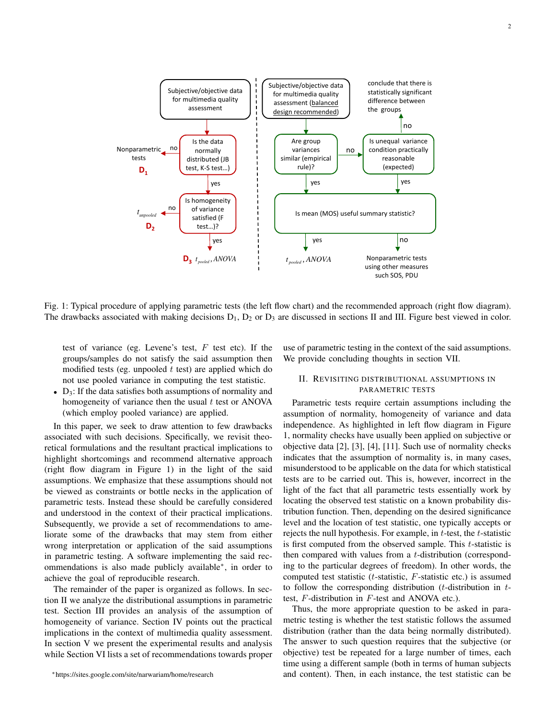

Fig. 1: Typical procedure of applying parametric tests (the left flow chart) and the recommended approach (right flow diagram). The drawbacks associated with making decisions  $D_1$ ,  $D_2$  or  $D_3$  are discussed in sections II and III. Figure best viewed in color.

test of variance (eg. Levene's test,  $F$  test etc). If the groups/samples do not satisfy the said assumption then modified tests (eg. unpooled  $t$  test) are applied which do not use pooled variance in computing the test statistic.

•  $D_3$ : If the data satisfies both assumptions of normality and homogeneity of variance then the usual  $t$  test or ANOVA (which employ pooled variance) are applied.

In this paper, we seek to draw attention to few drawbacks associated with such decisions. Specifically, we revisit theoretical formulations and the resultant practical implications to highlight shortcomings and recommend alternative approach (right flow diagram in Figure 1) in the light of the said assumptions. We emphasize that these assumptions should not be viewed as constraints or bottle necks in the application of parametric tests. Instead these should be carefully considered and understood in the context of their practical implications. Subsequently, we provide a set of recommendations to ameliorate some of the drawbacks that may stem from either wrong interpretation or application of the said assumptions in parametric testing. A software implementing the said recommendations is also made publicly available<sup>∗</sup> , in order to achieve the goal of reproducible research.

The remainder of the paper is organized as follows. In section II we analyze the distributional assumptions in parametric test. Section III provides an analysis of the assumption of homogeneity of variance. Section IV points out the practical implications in the context of multimedia quality assessment. In section V we present the experimental results and analysis while Section VI lists a set of recommendations towards proper use of parametric testing in the context of the said assumptions. We provide concluding thoughts in section VII.

# II. REVISITING DISTRIBUTIONAL ASSUMPTIONS IN PARAMETRIC TESTS

Parametric tests require certain assumptions including the assumption of normality, homogeneity of variance and data independence. As highlighted in left flow diagram in Figure 1, normality checks have usually been applied on subjective or objective data [2], [3], [4], [11]. Such use of normality checks indicates that the assumption of normality is, in many cases, misunderstood to be applicable on the data for which statistical tests are to be carried out. This is, however, incorrect in the light of the fact that all parametric tests essentially work by locating the observed test statistic on a known probability distribution function. Then, depending on the desired significance level and the location of test statistic, one typically accepts or rejects the null hypothesis. For example, in t-test, the t-statistic is first computed from the observed sample. This  $t$ -statistic is then compared with values from a t-distribution (corresponding to the particular degrees of freedom). In other words, the computed test statistic  $(t$ -statistic,  $F$ -statistic etc.) is assumed to follow the corresponding distribution (*t*-distribution in  $t$ test, F-distribution in F-test and ANOVA etc.).

Thus, the more appropriate question to be asked in parametric testing is whether the test statistic follows the assumed distribution (rather than the data being normally distributed). The answer to such question requires that the subjective (or objective) test be repeated for a large number of times, each time using a different sample (both in terms of human subjects and content). Then, in each instance, the test statistic can be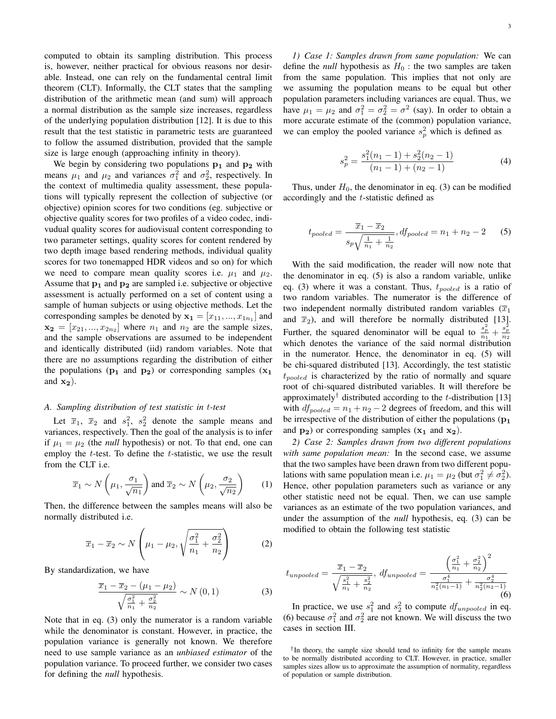computed to obtain its sampling distribution. This process is, however, neither practical for obvious reasons nor desirable. Instead, one can rely on the fundamental central limit theorem (CLT). Informally, the CLT states that the sampling distribution of the arithmetic mean (and sum) will approach a normal distribution as the sample size increases, regardless of the underlying population distribution [12]. It is due to this result that the test statistic in parametric tests are guaranteed to follow the assumed distribution, provided that the sample size is large enough (approaching infinity in theory).

We begin by considering two populations  $p_1$  and  $p_2$  with means  $\mu_1$  and  $\mu_2$  and variances  $\sigma_1^2$  and  $\sigma_2^2$ , respectively. In the context of multimedia quality assessment, these populations will typically represent the collection of subjective (or objective) opinion scores for two conditions (eg. subjective or objective quality scores for two profiles of a video codec, indivudual quality scores for audiovisual content corresponding to two parameter settings, quality scores for content rendered by two depth image based rendering methods, individual quality scores for two tonemapped HDR videos and so on) for which we need to compare mean quality scores i.e.  $\mu_1$  and  $\mu_2$ . Assume that  $p_1$  and  $p_2$  are sampled i.e. subjective or objective assessment is actually performed on a set of content using a sample of human subjects or using objective methods. Let the corresponding samples be denoted by  $x_1 = [x_{11}, ..., x_{1n_1}]$  and  $\mathbf{x_2} = [x_{21},...,x_{2n_2}]$  where  $n_1$  and  $n_2$  are the sample sizes, and the sample observations are assumed to be independent and identically distributed (iid) random variables. Note that there are no assumptions regarding the distribution of either the populations ( $p_1$  and  $p_2$ ) or corresponding samples ( $x_1$ ) and  $x_2$ ).

## *A. Sampling distribution of test statistic in* t*-test*

Let  $\overline{x}_1$ ,  $\overline{x}_2$  and  $s_1^2$ ,  $s_2^2$  denote the sample means and variances, respectively. Then the goal of the analysis is to infer if  $\mu_1 = \mu_2$  (the *null* hypothesis) or not. To that end, one can employ the  $t$ -test. To define the  $t$ -statistic, we use the result from the CLT i.e.

$$
\overline{x}_1 \sim N\left(\mu_1, \frac{\sigma_1}{\sqrt{n_1}}\right)
$$
 and  $\overline{x}_2 \sim N\left(\mu_2, \frac{\sigma_2}{\sqrt{n_2}}\right)$  (1)

Then, the difference between the samples means will also be normally distributed i.e.

$$
\overline{x}_1 - \overline{x}_2 \sim N\left(\mu_1 - \mu_2, \sqrt{\frac{\sigma_1^2}{n_1} + \frac{\sigma_2^2}{n_2}}\right)
$$
 (2)

By standardization, we have

$$
\frac{\overline{x}_1 - \overline{x}_2 - (\mu_1 - \mu_2)}{\sqrt{\frac{\sigma_1^2}{n_1} + \frac{\sigma_2^2}{n_2}}} \sim N(0, 1)
$$
\n(3)

Note that in eq. (3) only the numerator is a random variable while the denominator is constant. However, in practice, the population variance is generally not known. We therefore need to use sample variance as an *unbiased estimator* of the population variance. To proceed further, we consider two cases for defining the *null* hypothesis.

*1) Case 1: Samples drawn from same population:* We can define the *null* hypothesis as  $H_0$ : the two samples are taken from the same population. This implies that not only are we assuming the population means to be equal but other population parameters including variances are equal. Thus, we have  $\mu_1 = \mu_2$  and  $\sigma_1^2 = \sigma_2^2 = \sigma^2$  (say). In order to obtain a more accurate estimate of the (common) population variance, we can employ the pooled variance  $s_p^2$  which is defined as

$$
s_p^2 = \frac{s_1^2(n_1 - 1) + s_2^2(n_2 - 1)}{(n_1 - 1) + (n_2 - 1)}
$$
(4)

Thus, under  $H_0$ , the denominator in eq. (3) can be modified accordingly and the t-statistic defined as

$$
t_{pooled} = \frac{\overline{x}_1 - \overline{x}_2}{s_p \sqrt{\frac{1}{n_1} + \frac{1}{n_2}}}, df_{pooled} = n_1 + n_2 - 2
$$
 (5)

With the said modification, the reader will now note that the denominator in eq. (5) is also a random variable, unlike eq. (3) where it was a constant. Thus,  $t_{pooled}$  is a ratio of two random variables. The numerator is the difference of two independent normally distributed random variables  $(\overline{x}_1)$ and  $\bar{x}_2$ ), and will therefore be normally distributed [13]. Further, the squared denominator will be equal to  $\frac{s_p^2}{n_1} + \frac{s_p^2}{n_2}$ which denotes the variance of the said normal distribution in the numerator. Hence, the denominator in eq. (5) will be chi-squared distributed [13]. Accordingly, the test statistic  $t_{pooled}$  is characterized by the ratio of normally and square root of chi-squared distributed variables. It will therefore be approximately<sup>†</sup> distributed according to the t-distribution [13] with  $df_{pooled} = n_1 + n_2 - 2$  degrees of freedom, and this will be irrespective of the distribution of either the populations  $(p_1)$ and  $p_2$ ) or corresponding samples  $(x_1 \text{ and } x_2)$ .

*2) Case 2: Samples drawn from two different populations with same population mean:* In the second case, we assume that the two samples have been drawn from two different populations with same population mean i.e.  $\mu_1 = \mu_2$  (but  $\sigma_1^2 \neq \sigma_2^2$ ). Hence, other population parameters such as variance or any other statistic need not be equal. Then, we can use sample variances as an estimate of the two population variances, and under the assumption of the *null* hypothesis, eq. (3) can be modified to obtain the following test statistic

$$
t_{unpooled} = \frac{\overline{x}_1 - \overline{x}_2}{\sqrt{\frac{s_1^2}{n_1} + \frac{s_2^2}{n_2}}}, \, df_{unpooled} = \frac{\left(\frac{\sigma_1^2}{n_1} + \frac{\sigma_2^2}{n_2}\right)^2}{\frac{\sigma_1^4}{n_1^2(n_1 - 1)} + \frac{\sigma_2^4}{n_2^2(n_2 - 1)}}\tag{6}
$$

In practice, we use  $s_1^2$  and  $s_2^2$  to compute  $df_{unpooled}$  in eq. (6) because  $\sigma_1^2$  and  $\sigma_2^2$  are not known. We will discuss the two cases in section III.

<sup>†</sup> In theory, the sample size should tend to infinity for the sample means to be normally distributed according to CLT. However, in practice, smaller samples sizes allow us to approximate the assumption of normality, regardless of population or sample distribution.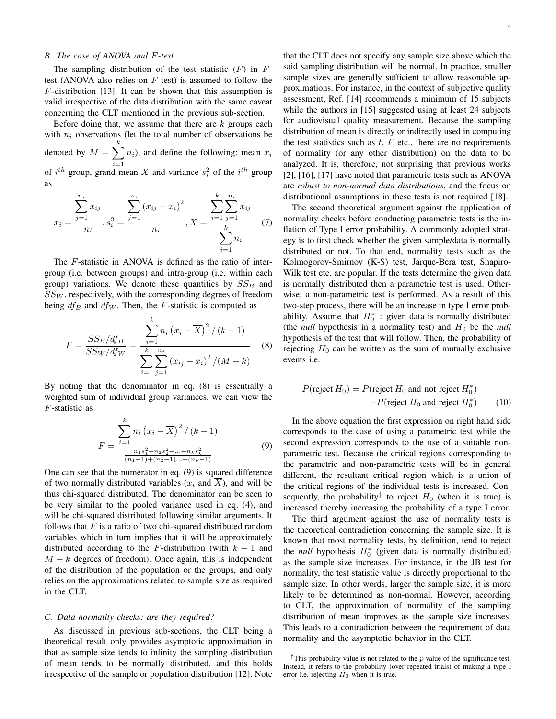## *B. The case of ANOVA and* F*-test*

The sampling distribution of the test statistic  $(F)$  in  $F$ test (ANOVA also relies on  $F$ -test) is assumed to follow the  $F$ -distribution [13]. It can be shown that this assumption is valid irrespective of the data distribution with the same caveat concerning the CLT mentioned in the previous sub-section.

Before doing that, we assume that there are  $k$  groups each with  $n_i$  observations (let the total number of observations be denoted by  $M = \sum$ k  $i=1$  $n_i$ ), and define the following: mean  $\overline{x}_i$ of  $i^{th}$  group, grand mean  $\overline{X}$  and variance  $s_i^2$  of the  $i^{th}$  group as

$$
\overline{x}_{i} = \frac{\sum_{j=1}^{n_{i}} x_{ij}}{n_{i}}, s_{i}^{2} = \frac{\sum_{j=1}^{n_{i}} (x_{ij} - \overline{x}_{i})^{2}}{n_{i}}, \overline{X} = \frac{\sum_{i=1}^{k} \sum_{j=1}^{n_{i}} x_{ij}}{\sum_{i=1}^{k} n_{i}} \tag{7}
$$

The F-statistic in ANOVA is defined as the ratio of intergroup (i.e. between groups) and intra-group (i.e. within each group) variations. We denote these quantities by  $SS_B$  and  $SS_W$ , respectively, with the corresponding degrees of freedom being  $df_B$  and  $df_W$ . Then, the F-statistic is computed as

$$
F = \frac{SS_B/df_B}{SS_W/df_W} = \frac{\sum_{i=1}^{k} n_i (\overline{x}_i - \overline{X})^2 / (k-1)}{\sum_{i=1}^{k} \sum_{j=1}^{n_i} (x_{ij} - \overline{x}_i)^2 / (M-k)}
$$
(8)

By noting that the denominator in eq. (8) is essentially a weighted sum of individual group variances, we can view the F-statistic as

$$
F = \frac{\sum_{i=1}^{k} n_i (\overline{x}_i - \overline{X})^2 / (k-1)}{\frac{n_1 s_1^2 + n_2 s_2^2 + \dots + n_k s_k^2}{(n_1 - 1) + (n_2 - 1)\dots + (n_k - 1)}}
$$
(9)

One can see that the numerator in eq. (9) is squared difference of two normally distributed variables  $(\overline{x}_i \text{ and } \overline{X})$ , and will be thus chi-squared distributed. The denominator can be seen to be very similar to the pooled variance used in eq. (4), and will be chi-squared distributed following similar arguments. It follows that  $F$  is a ratio of two chi-squared distributed random variables which in turn implies that it will be approximately distributed according to the F-distribution (with  $k - 1$  and  $M - k$  degrees of freedom). Once again, this is independent of the distribution of the population or the groups, and only relies on the approximations related to sample size as required in the CLT.

#### *C. Data normality checks: are they required?*

As discussed in previous sub-sections, the CLT being a theoretical result only provides asymptotic approximation in that as sample size tends to infinity the sampling distribution of mean tends to be normally distributed, and this holds irrespective of the sample or population distribution [12]. Note that the CLT does not specify any sample size above which the said sampling distribution will be normal. In practice, smaller sample sizes are generally sufficient to allow reasonable approximations. For instance, in the context of subjective quality assessment, Ref. [14] recommends a minimum of 15 subjects while the authors in [15] suggested using at least 24 subjects for audiovisual quality measurement. Because the sampling distribution of mean is directly or indirectly used in computing the test statistics such as  $t$ ,  $F$  etc., there are no requirements of normality (or any other distribution) on the data to be analyzed. It is, therefore, not surprising that previous works [2], [16], [17] have noted that parametric tests such as ANOVA are *robust to non-normal data distributions*, and the focus on distributional assumptions in these tests is not required [18].

The second theoretical argument against the application of normality checks before conducting parametric tests is the inflation of Type I error probability. A commonly adopted strategy is to first check whether the given sample/data is normally distributed or not. To that end, normality tests such as the Kolmogorov-Smirnov (K-S) test, Jarque-Bera test, Shapiro-Wilk test etc. are popular. If the tests determine the given data is normally distributed then a parametric test is used. Otherwise, a non-parametric test is performed. As a result of this two-step process, there will be an increase in type I error probability. Assume that  $H_0^*$ : given data is normally distributed (the *null* hypothesis in a normality test) and  $H_0$  be the *null* hypothesis of the test that will follow. Then, the probability of rejecting  $H_0$  can be written as the sum of mutually exclusive events i.e.

$$
P(\text{reject } H_0) = P(\text{reject } H_0 \text{ and not reject } H_0^*)
$$
  
+
$$
P(\text{reject } H_0 \text{ and reject } H_0^*)
$$
 (10)

In the above equation the first expression on right hand side corresponds to the case of using a parametric test while the second expression corresponds to the use of a suitable nonparametric test. Because the critical regions corresponding to the parametric and non-parametric tests will be in general different, the resultant critical region which is a union of the critical regions of the individual tests is increased. Consequently, the probability<sup>‡</sup> to reject  $H_0$  (when it is true) is increased thereby increasing the probability of a type I error.

The third argument against the use of normality tests is the theoretical contradiction concerning the sample size. It is known that most normality tests, by definition, tend to reject the *null* hypothesis  $H_0^*$  (given data is normally distributed) as the sample size increases. For instance, in the JB test for normality, the test statistic value is directly proportional to the sample size. In other words, larger the sample size, it is more likely to be determined as non-normal. However, according to CLT, the approximation of normality of the sampling distribution of mean improves as the sample size increases. This leads to a contradiction between the requirement of data normality and the asymptotic behavior in the CLT.

<sup>&</sup>lt;sup>‡</sup>This probability value is not related to the p value of the significance test. Instead, it refers to the probability (over repeated trials) of making a type I error i.e. rejecting  $H_0$  when it is true.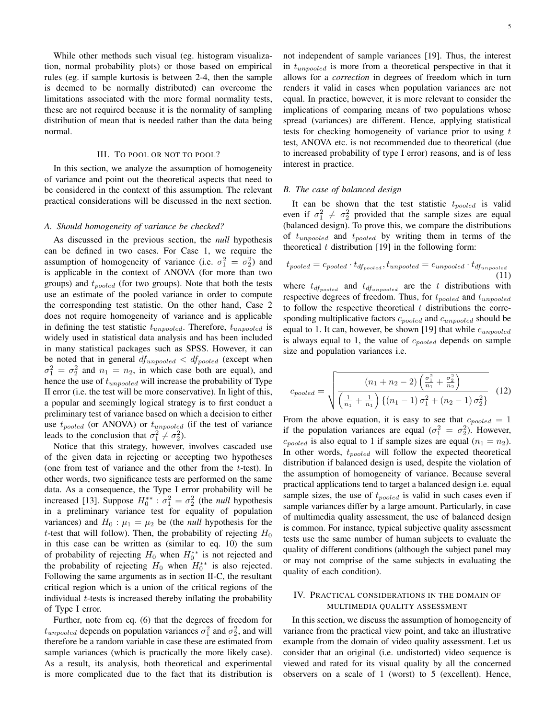While other methods such visual (eg. histogram visualization, normal probability plots) or those based on empirical rules (eg. if sample kurtosis is between 2-4, then the sample is deemed to be normally distributed) can overcome the limitations associated with the more formal normality tests, these are not required because it is the normality of sampling distribution of mean that is needed rather than the data being normal.

#### III. TO POOL OR NOT TO POOL?

In this section, we analyze the assumption of homogeneity of variance and point out the theoretical aspects that need to be considered in the context of this assumption. The relevant practical considerations will be discussed in the next section.

#### *A. Should homogeneity of variance be checked?*

As discussed in the previous section, the *null* hypothesis can be defined in two cases. For Case 1, we require the assumption of homogeneity of variance (i.e.  $\sigma_1^2 = \sigma_2^2$ ) and is applicable in the context of ANOVA (for more than two groups) and  $t_{pooled}$  (for two groups). Note that both the tests use an estimate of the pooled variance in order to compute the corresponding test statistic. On the other hand, Case 2 does not require homogeneity of variance and is applicable in defining the test statistic  $t_{unpooled}$ . Therefore,  $t_{unpooled}$  is widely used in statistical data analysis and has been included in many statistical packages such as SPSS. However, it can be noted that in general  $df_{unpooled} < df_{pooled}$  (except when  $\sigma_1^2 = \sigma_2^2$  and  $n_1 = n_2$ , in which case both are equal), and hence the use of  $t_{unpooled}$  will increase the probability of Type II error (i.e. the test will be more conservative). In light of this, a popular and seemingly logical strategy is to first conduct a preliminary test of variance based on which a decision to either use  $t_{pooled}$  (or ANOVA) or  $t_{unpooled}$  (if the test of variance leads to the conclusion that  $\sigma_1^2 \neq \sigma_2^2$ ).

Notice that this strategy, however, involves cascaded use of the given data in rejecting or accepting two hypotheses (one from test of variance and the other from the  $t$ -test). In other words, two significance tests are performed on the same data. As a consequence, the Type I error probability will be increased [13]. Suppose  $H_0^{**}$ :  $\sigma_1^2 = \sigma_2^2$  (the *null* hypothesis in a preliminary variance test for equality of population variances) and  $H_0$ :  $\mu_1 = \mu_2$  be (the *null* hypothesis for the t-test that will follow). Then, the probability of rejecting  $H_0$ in this case can be written as (similar to eq. 10) the sum of probability of rejecting  $H_0$  when  $H_0^{**}$  is not rejected and the probability of rejecting  $H_0$  when  $H_0^{**}$  is also rejected. Following the same arguments as in section II-C, the resultant critical region which is a union of the critical regions of the individual  $t$ -tests is increased thereby inflating the probability of Type I error.

Further, note from eq. (6) that the degrees of freedom for  $t_{unpooled}$  depends on population variances  $\sigma_1^2$  and  $\sigma_2^2$ , and will therefore be a random variable in case these are estimated from sample variances (which is practically the more likely case). As a result, its analysis, both theoretical and experimental is more complicated due to the fact that its distribution is not independent of sample variances [19]. Thus, the interest in  $t_{unpooled}$  is more from a theoretical perspective in that it allows for a *correction* in degrees of freedom which in turn renders it valid in cases when population variances are not equal. In practice, however, it is more relevant to consider the implications of comparing means of two populations whose spread (variances) are different. Hence, applying statistical tests for checking homogeneity of variance prior to using t test, ANOVA etc. is not recommended due to theoretical (due to increased probability of type I error) reasons, and is of less interest in practice.

## *B. The case of balanced design*

It can be shown that the test statistic  $t_{pooled}$  is valid even if  $\sigma_1^2 \neq \sigma_2^2$  provided that the sample sizes are equal (balanced design). To prove this, we compare the distributions of  $t_{unpooled}$  and  $t_{pooled}$  by writing them in terms of the theoretical  $t$  distribution [19] in the following form:

$$
t_{pooled} = c_{pooled} \cdot t_{df_{pooled}}, t_{unpooled} = c_{unpooled} \cdot t_{df_{unpooled}} \tag{11}
$$

where  $t_{df_{pooled}}$  and  $t_{df_{unpooled}}$  are the t distributions with respective degrees of freedom. Thus, for  $t_{pooled}$  and  $t_{unpooled}$ to follow the respective theoretical  $t$  distributions the corresponding multiplicative factors  $c_{pooled}$  and  $c_{unpooled}$  should be equal to 1. It can, however, be shown [19] that while  $c_{unpooled}$ is always equal to 1, the value of  $c_{pooled}$  depends on sample size and population variances i.e.

$$
c_{pooled} = \sqrt{\frac{(n_1 + n_2 - 2)\left(\frac{\sigma_1^2}{n_1} + \frac{\sigma_2^2}{n_2}\right)}{\left(\frac{1}{n_1} + \frac{1}{n_1}\right)\left\{(n_1 - 1)\sigma_1^2 + (n_2 - 1)\sigma_2^2\right\}}}
$$
(12)

From the above equation, it is easy to see that  $c_{pooled} = 1$ if the population variances are equal  $(\sigma_1^2 = \sigma_2^2)$ . However,  $c_{pooled}$  is also equal to 1 if sample sizes are equal  $(n_1 = n_2)$ . In other words,  $t_{pooled}$  will follow the expected theoretical distribution if balanced design is used, despite the violation of the assumption of homogeneity of variance. Because several practical applications tend to target a balanced design i.e. equal sample sizes, the use of  $t_{pooled}$  is valid in such cases even if sample variances differ by a large amount. Particularly, in case of multimedia quality assessment, the use of balanced design is common. For instance, typical subjective quality assessment tests use the same number of human subjects to evaluate the quality of different conditions (although the subject panel may or may not comprise of the same subjects in evaluating the quality of each condition).

## IV. PRACTICAL CONSIDERATIONS IN THE DOMAIN OF MULTIMEDIA QUALITY ASSESSMENT

In this section, we discuss the assumption of homogeneity of variance from the practical view point, and take an illustrative example from the domain of video quality assessment. Let us consider that an original (i.e. undistorted) video sequence is viewed and rated for its visual quality by all the concerned observers on a scale of 1 (worst) to 5 (excellent). Hence,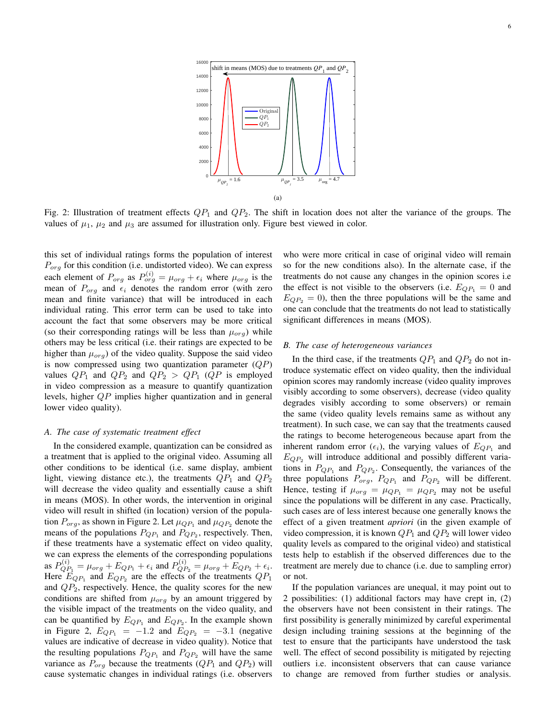

Fig. 2: Illustration of treatment effects  $QP_1$  and  $QP_2$ . The shift in location does not alter the variance of the groups. The values of  $\mu_1$ ,  $\mu_2$  and  $\mu_3$  are assumed for illustration only. Figure best viewed in color.

this set of individual ratings forms the population of interest  $P_{ora}$  for this condition (i.e. undistorted video). We can express each element of  $P_{org}$  as  $P_{org}^{(i)} = \mu_{org} + \epsilon_i$  where  $\mu_{org}$  is the mean of  $P_{org}$  and  $\epsilon_i$  denotes the random error (with zero mean and finite variance) that will be introduced in each individual rating. This error term can be used to take into account the fact that some observers may be more critical (so their corresponding ratings will be less than  $\mu_{\text{orq}}$ ) while others may be less critical (i.e. their ratings are expected to be higher than  $\mu_{\text{orq}}$ ) of the video quality. Suppose the said video is now compressed using two quantization parameter  $(QP)$ values  $QP_1$  and  $QP_2$  and  $QP_2 > QP_1$  ( $QP$  is employed in video compression as a measure to quantify quantization levels, higher QP implies higher quantization and in general lower video quality).

#### *A. The case of systematic treatment effect*

In the considered example, quantization can be considred as a treatment that is applied to the original video. Assuming all other conditions to be identical (i.e. same display, ambient light, viewing distance etc.), the treatments  $QP_1$  and  $QP_2$ will decrease the video quality and essentially cause a shift in means (MOS). In other words, the intervention in original video will result in shifted (in location) version of the population  $P_{org}$ , as shown in Figure 2. Let  $\mu_{QP_1}$  and  $\mu_{QP_2}$  denote the means of the populations  $P_{QP_1}$  and  $P_{QP_2}$ , respectively. Then, if these treatments have a systematic effect on video quality, we can express the elements of the corresponding populations as  $P_{QP_1}^{(i)} = \mu_{org} + E_{QP_1} + \epsilon_i$  and  $P_{QP_2}^{(i)} = \mu_{org} + E_{QP_2} + \epsilon_i$ . Here  $E_{QP_1}$  and  $E_{QP_2}$  are the effects of the treatments  $QP_1$ and  $QP_2$ , respectively. Hence, the quality scores for the new conditions are shifted from  $\mu_{org}$  by an amount triggered by the visible impact of the treatments on the video quality, and can be quantified by  $E_{QP_1}$  and  $E_{QP_2}$ . In the example shown in Figure 2,  $E_{QP_1} = -1.2$  and  $E_{QP_2} = -3.1$  (negative values are indicative of decrease in video quality). Notice that the resulting populations  $P_{QP_1}$  and  $P_{QP_2}$  will have the same variance as  $P_{org}$  because the treatments  $(QP_1 \text{ and } QP_2)$  will cause systematic changes in individual ratings (i.e. observers

who were more critical in case of original video will remain so for the new conditions also). In the alternate case, if the treatments do not cause any changes in the opinion scores i.e the effect is not visible to the observers (i.e.  $E_{QP_1} = 0$  and  $E_{QP_2} = 0$ , then the three populations will be the same and one can conclude that the treatments do not lead to statistically significant differences in means (MOS).

# *B. The case of heterogeneous variances*

In the third case, if the treatments  $QP_1$  and  $QP_2$  do not introduce systematic effect on video quality, then the individual opinion scores may randomly increase (video quality improves visibly according to some observers), decrease (video quality degrades visibly according to some observers) or remain the same (video quality levels remains same as without any treatment). In such case, we can say that the treatments caused the ratings to become heterogeneous because apart from the inherent random error  $(\epsilon_i)$ , the varying values of  $E_{QP_1}$  and  $E_{QP_2}$  will introduce additional and possibly different variations in  $P_{QP_1}$  and  $P_{QP_2}$ . Consequently, the variances of the three populations  $P_{org}$ ,  $P_{QP_1}$  and  $P_{QP_2}$  will be different. Hence, testing if  $\mu_{org} = \mu_{QP_1} = \mu_{QP_2}$  may not be useful since the populations will be different in any case. Practically, such cases are of less interest because one generally knows the effect of a given treatment *apriori* (in the given example of video compression, it is known  $QP_1$  and  $QP_2$  will lower video quality levels as compared to the original video) and statistical tests help to establish if the observed differences due to the treatment are merely due to chance (i.e. due to sampling error) or not.

If the population variances are unequal, it may point out to 2 possibilities: (1) additional factors may have crept in, (2) the observers have not been consistent in their ratings. The first possibility is generally minimized by careful experimental design including training sessions at the beginning of the test to ensure that the participants have understood the task well. The effect of second possibility is mitigated by rejecting outliers i.e. inconsistent observers that can cause variance to change are removed from further studies or analysis.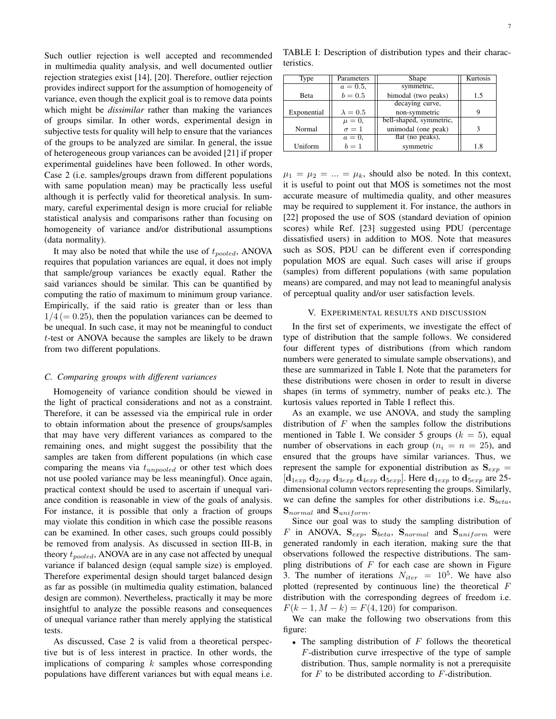Such outlier rejection is well accepted and recommended in multimedia quality analysis, and well documented outlier rejection strategies exist [14], [20]. Therefore, outlier rejection provides indirect support for the assumption of homogeneity of variance, even though the explicit goal is to remove data points which might be *dissimilar* rather than making the variances of groups similar. In other words, experimental design in subjective tests for quality will help to ensure that the variances of the groups to be analyzed are similar. In general, the issue of heterogeneous group variances can be avoided [21] if proper experimental guidelines have been followed. In other words, Case 2 (i.e. samples/groups drawn from different populations with same population mean) may be practically less useful although it is perfectly valid for theoretical analysis. In summary, careful experimental design is more crucial for reliable statistical analysis and comparisons rather than focusing on homogeneity of variance and/or distributional assumptions (data normality).

It may also be noted that while the use of  $t_{pooled}$ , ANOVA requires that population variances are equal, it does not imply that sample/group variances be exactly equal. Rather the said variances should be similar. This can be quantified by computing the ratio of maximum to minimum group variance. Empirically, if the said ratio is greater than or less than  $1/4 (= 0.25)$ , then the population variances can be deemed to be unequal. In such case, it may not be meaningful to conduct t-test or ANOVA because the samples are likely to be drawn from two different populations.

## *C. Comparing groups with different variances*

Homogeneity of variance condition should be viewed in the light of practical considerations and not as a constraint. Therefore, it can be assessed via the empirical rule in order to obtain information about the presence of groups/samples that may have very different variances as compared to the remaining ones, and might suggest the possibility that the samples are taken from different populations (in which case comparing the means via  $t_{unpooled}$  or other test which does not use pooled variance may be less meaningful). Once again, practical context should be used to ascertain if unequal variance condition is reasonable in view of the goals of analysis. For instance, it is possible that only a fraction of groups may violate this condition in which case the possible reasons can be examined. In other cases, such groups could possibly be removed from analysis. As discussed in section III-B, in theory  $t_{pooled}$ , ANOVA are in any case not affected by unequal variance if balanced design (equal sample size) is employed. Therefore experimental design should target balanced design as far as possible (in multimedia quality estimation, balanced design are common). Nevertheless, practically it may be more insightful to analyze the possible reasons and consequences of unequal variance rather than merely applying the statistical tests.

As discussed, Case 2 is valid from a theoretical perspective but is of less interest in practice. In other words, the implications of comparing  $k$  samples whose corresponding populations have different variances but with equal means i.e.

TABLE I: Description of distribution types and their characteristics.

| Type         | Parameters      | Shape                   | Kurtosis |
|--------------|-----------------|-------------------------|----------|
|              | $a = 0.5$ ,     | symmetric,              |          |
| <b>B</b> eta | $b = 0.5$       | bimodal (two peaks)     | 1.5      |
|              |                 | decaying curve,         |          |
| Exponential  | $\lambda = 0.5$ | non-symmetric           | Q        |
|              | $\mu = 0$ ,     | bell-shaped, symmetric, |          |
| Normal       | $\sigma=1$      | unimodal (one peak)     | 3        |
|              | $a=0,$          | flat (no peaks),        |          |
| Uniform      | $b=1$           | symmetric               | 1.8      |

 $\mu_1 = \mu_2 = ... = \mu_k$ , should also be noted. In this context, it is useful to point out that MOS is sometimes not the most accurate measure of multimedia quality, and other measures may be required to supplement it. For instance, the authors in [22] proposed the use of SOS (standard deviation of opinion scores) while Ref. [23] suggested using PDU (percentage dissatisfied users) in addition to MOS. Note that measures such as SOS, PDU can be different even if corresponding population MOS are equal. Such cases will arise if groups (samples) from different populations (with same population means) are compared, and may not lead to meaningful analysis of perceptual quality and/or user satisfaction levels.

## V. EXPERIMENTAL RESULTS AND DISCUSSION

In the first set of experiments, we investigate the effect of type of distribution that the sample follows. We considered four different types of distributions (from which random numbers were generated to simulate sample observations), and these are summarized in Table I. Note that the parameters for these distributions were chosen in order to result in diverse shapes (in terms of symmetry, number of peaks etc.). The kurtosis values reported in Table I reflect this.

As an example, we use ANOVA, and study the sampling distribution of  $F$  when the samples follow the distributions mentioned in Table I. We consider 5 groups  $(k = 5)$ , equal number of observations in each group  $(n_i = n = 25)$ , and ensured that the groups have similar variances. Thus, we represent the sample for exponential distribution as  $S_{exp}$  =  $[d_{1exp} d_{2exp} d_{3exp} d_{4exp} d_{5exp}]$ . Here  $d_{1exp}$  to  $d_{5exp}$  are 25dimensional column vectors representing the groups. Similarly, we can define the samples for other distributions i.e.  $S_{beta}$ ,  $S_{normal}$  and  $S_{uniform}$ .

Since our goal was to study the sampling distribution of F in ANOVA,  $S_{exp}$ ,  $S_{beta}$ ,  $S_{normal}$  and  $S_{uniform}$  were generated randomly in each iteration, making sure the that observations followed the respective distributions. The sampling distributions of  $F$  for each case are shown in Figure 3. The number of iterations  $N_{iter} = 10^5$ . We have also plotted (represented by continuous line) the theoretical F distribution with the corresponding degrees of freedom i.e.  $F(k-1, M-k) = F(4, 120)$  for comparison.

We can make the following two observations from this figure:

• The sampling distribution of  $F$  follows the theoretical F-distribution curve irrespective of the type of sample distribution. Thus, sample normality is not a prerequisite for  $F$  to be distributed according to  $F$ -distribution.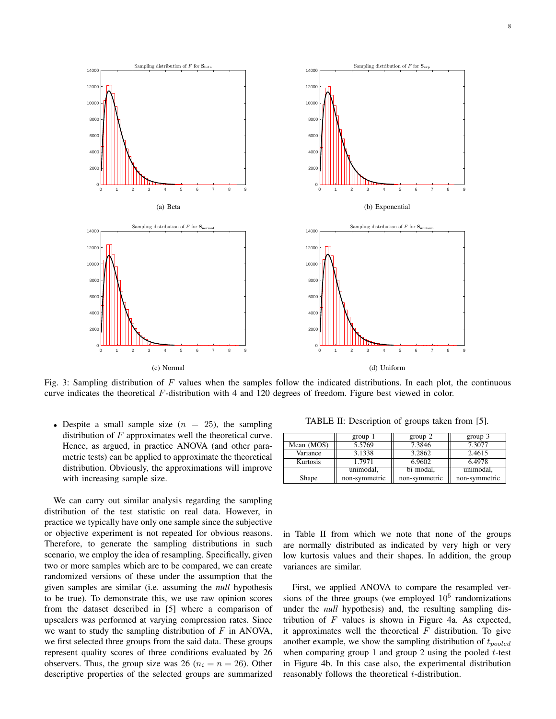

Fig. 3: Sampling distribution of  $F$  values when the samples follow the indicated distributions. In each plot, the continuous curve indicates the theoretical F-distribution with 4 and 120 degrees of freedom. Figure best viewed in color.

• Despite a small sample size  $(n = 25)$ , the sampling distribution of  $F$  approximates well the theoretical curve. Hence, as argued, in practice ANOVA (and other parametric tests) can be applied to approximate the theoretical distribution. Obviously, the approximations will improve with increasing sample size.

We can carry out similar analysis regarding the sampling distribution of the test statistic on real data. However, in practice we typically have only one sample since the subjective or objective experiment is not repeated for obvious reasons. Therefore, to generate the sampling distributions in such scenario, we employ the idea of resampling. Specifically, given two or more samples which are to be compared, we can create randomized versions of these under the assumption that the given samples are similar (i.e. assuming the *null* hypothesis to be true). To demonstrate this, we use raw opinion scores from the dataset described in [5] where a comparison of upscalers was performed at varying compression rates. Since we want to study the sampling distribution of  $F$  in ANOVA, we first selected three groups from the said data. These groups represent quality scores of three conditions evaluated by 26 observers. Thus, the group size was 26 ( $n_i = n = 26$ ). Other descriptive properties of the selected groups are summarized

TABLE II: Description of groups taken from [5].

|            | group 1       | group 2       | $group\ 3$    |
|------------|---------------|---------------|---------------|
| Mean (MOS) | 5.5769        | 7.3846        | 7.3077        |
| Variance   | 3.1338        | 3.2862        | 2.4615        |
| Kurtosis   | 1.7971        | 6.9602        | 6.4978        |
|            | unimodal,     | bi-modal,     | unimodal,     |
| Shape      | non-symmetric | non-symmetric | non-symmetric |

in Table II from which we note that none of the groups are normally distributed as indicated by very high or very low kurtosis values and their shapes. In addition, the group variances are similar.

First, we applied ANOVA to compare the resampled versions of the three groups (we employed  $10<sup>5</sup>$  randomizations under the *null* hypothesis) and, the resulting sampling distribution of  $F$  values is shown in Figure 4a. As expected, it approximates well the theoretical  $F$  distribution. To give another example, we show the sampling distribution of  $t_{pooled}$ when comparing group 1 and group 2 using the pooled  $t$ -test in Figure 4b. In this case also, the experimental distribution reasonably follows the theoretical  $t$ -distribution.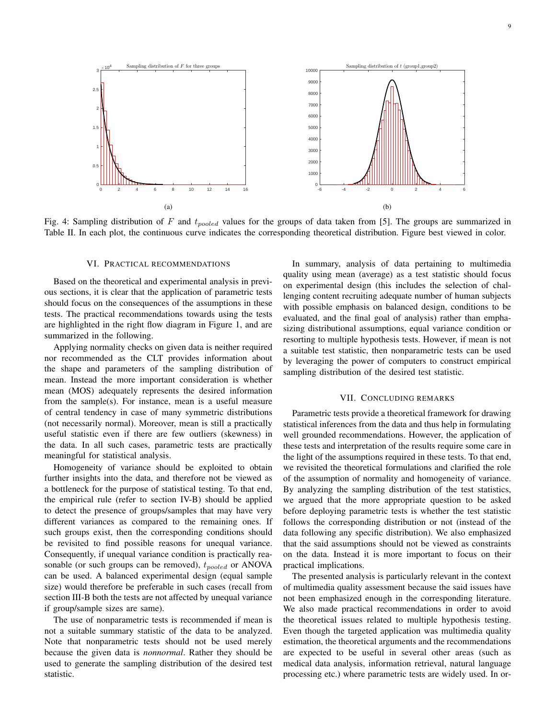

Fig. 4: Sampling distribution of F and  $t_{pooled}$  values for the groups of data taken from [5]. The groups are summarized in Table II. In each plot, the continuous curve indicates the corresponding theoretical distribution. Figure best viewed in color.

### VI. PRACTICAL RECOMMENDATIONS

Based on the theoretical and experimental analysis in previous sections, it is clear that the application of parametric tests should focus on the consequences of the assumptions in these tests. The practical recommendations towards using the tests are highlighted in the right flow diagram in Figure 1, and are summarized in the following.

Applying normality checks on given data is neither required nor recommended as the CLT provides information about the shape and parameters of the sampling distribution of mean. Instead the more important consideration is whether mean (MOS) adequately represents the desired information from the sample(s). For instance, mean is a useful measure of central tendency in case of many symmetric distributions (not necessarily normal). Moreover, mean is still a practically useful statistic even if there are few outliers (skewness) in the data. In all such cases, parametric tests are practically meaningful for statistical analysis.

Homogeneity of variance should be exploited to obtain further insights into the data, and therefore not be viewed as a bottleneck for the purpose of statistical testing. To that end, the empirical rule (refer to section IV-B) should be applied to detect the presence of groups/samples that may have very different variances as compared to the remaining ones. If such groups exist, then the corresponding conditions should be revisited to find possible reasons for unequal variance. Consequently, if unequal variance condition is practically reasonable (or such groups can be removed),  $t_{pooled}$  or ANOVA can be used. A balanced experimental design (equal sample size) would therefore be preferable in such cases (recall from section III-B both the tests are not affected by unequal variance if group/sample sizes are same).

The use of nonparametric tests is recommended if mean is not a suitable summary statistic of the data to be analyzed. Note that nonparametric tests should not be used merely because the given data is *nonnormal*. Rather they should be used to generate the sampling distribution of the desired test statistic.

In summary, analysis of data pertaining to multimedia quality using mean (average) as a test statistic should focus on experimental design (this includes the selection of challenging content recruiting adequate number of human subjects with possible emphasis on balanced design, conditions to be evaluated, and the final goal of analysis) rather than emphasizing distributional assumptions, equal variance condition or resorting to multiple hypothesis tests. However, if mean is not a suitable test statistic, then nonparametric tests can be used by leveraging the power of computers to construct empirical sampling distribution of the desired test statistic.

## VII. CONCLUDING REMARKS

Parametric tests provide a theoretical framework for drawing statistical inferences from the data and thus help in formulating well grounded recommendations. However, the application of these tests and interpretation of the results require some care in the light of the assumptions required in these tests. To that end, we revisited the theoretical formulations and clarified the role of the assumption of normality and homogeneity of variance. By analyzing the sampling distribution of the test statistics, we argued that the more appropriate question to be asked before deploying parametric tests is whether the test statistic follows the corresponding distribution or not (instead of the data following any specific distribution). We also emphasized that the said assumptions should not be viewed as constraints on the data. Instead it is more important to focus on their practical implications.

The presented analysis is particularly relevant in the context of multimedia quality assessment because the said issues have not been emphasized enough in the corresponding literature. We also made practical recommendations in order to avoid the theoretical issues related to multiple hypothesis testing. Even though the targeted application was multimedia quality estimation, the theoretical arguments and the recommendations are expected to be useful in several other areas (such as medical data analysis, information retrieval, natural language processing etc.) where parametric tests are widely used. In or-